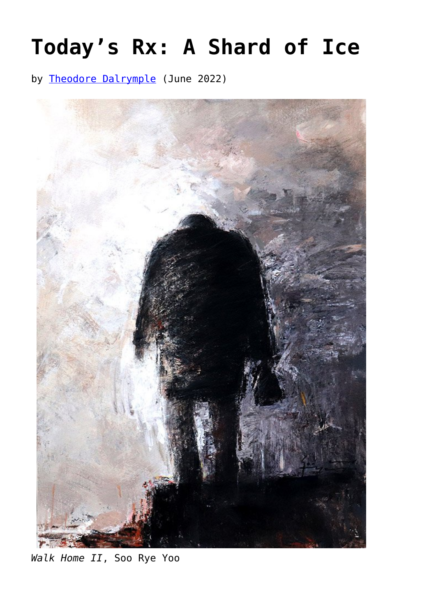## **[Today's Rx: A Shard of Ice](https://www.newenglishreview.org/articles/41055-2/)**

by [Theodore Dalrymple](https://www.newenglishreview.org/authors/theodore-dalrymple/) (June 2022)



*Walk Home II*, Soo Rye Yoo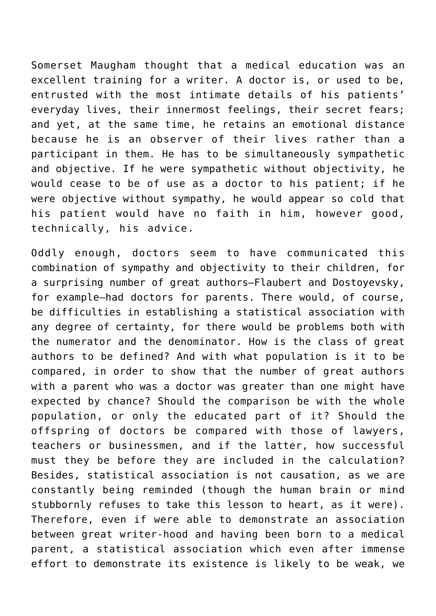Somerset Maugham thought that a medical education was an excellent training for a writer. A doctor is, or used to be, entrusted with the most intimate details of his patients' everyday lives, their innermost feelings, their secret fears; and yet, at the same time, he retains an emotional distance because he is an observer of their lives rather than a participant in them. He has to be simultaneously sympathetic and objective. If he were sympathetic without objectivity, he would cease to be of use as a doctor to his patient; if he were objective without sympathy, he would appear so cold that his patient would have no faith in him, however good, technically, his advice.

Oddly enough, doctors seem to have communicated this combination of sympathy and objectivity to their children, for a surprising number of great authors—Flaubert and Dostoyevsky, for example—had doctors for parents. There would, of course, be difficulties in establishing a statistical association with any degree of certainty, for there would be problems both with the numerator and the denominator. How is the class of great authors to be defined? And with what population is it to be compared, in order to show that the number of great authors with a parent who was a doctor was greater than one might have expected by chance? Should the comparison be with the whole population, or only the educated part of it? Should the offspring of doctors be compared with those of lawyers, teachers or businessmen, and if the latter, how successful must they be before they are included in the calculation? Besides, statistical association is not causation, as we are constantly being reminded (though the human brain or mind stubbornly refuses to take this lesson to heart, as it were). Therefore, even if were able to demonstrate an association between great writer-hood and having been born to a medical parent, a statistical association which even after immense effort to demonstrate its existence is likely to be weak, we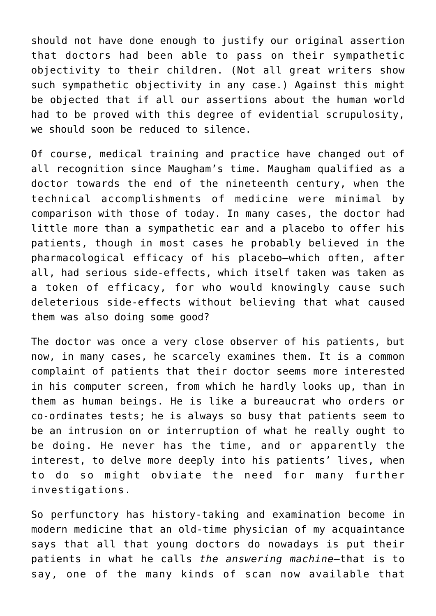should not have done enough to justify our original assertion that doctors had been able to pass on their sympathetic objectivity to their children. (Not all great writers show such sympathetic objectivity in any case.) Against this might be objected that if all our assertions about the human world had to be proved with this degree of evidential scrupulosity, we should soon be reduced to silence.

Of course, medical training and practice have changed out of all recognition since Maugham's time. Maugham qualified as a doctor towards the end of the nineteenth century, when the technical accomplishments of medicine were minimal by comparison with those of today. In many cases, the doctor had little more than a sympathetic ear and a placebo to offer his patients, though in most cases he probably believed in the pharmacological efficacy of his placebo—which often, after all, had serious side-effects, which itself taken was taken as a token of efficacy, for who would knowingly cause such deleterious side-effects without believing that what caused them was also doing some good?

The doctor was once a very close observer of his patients, but now, in many cases, he scarcely examines them. It is a common complaint of patients that their doctor seems more interested in his computer screen, from which he hardly looks up, than in them as human beings. He is like a bureaucrat who orders or co-ordinates tests; he is always so busy that patients seem to be an intrusion on or interruption of what he really ought to be doing. He never has the time, and or apparently the interest, to delve more deeply into his patients' lives, when to do so might obviate the need for many further investigations.

So perfunctory has history-taking and examination become in modern medicine that an old-time physician of my acquaintance says that all that young doctors do nowadays is put their patients in what he calls *the answering machine*—that is to say, one of the many kinds of scan now available that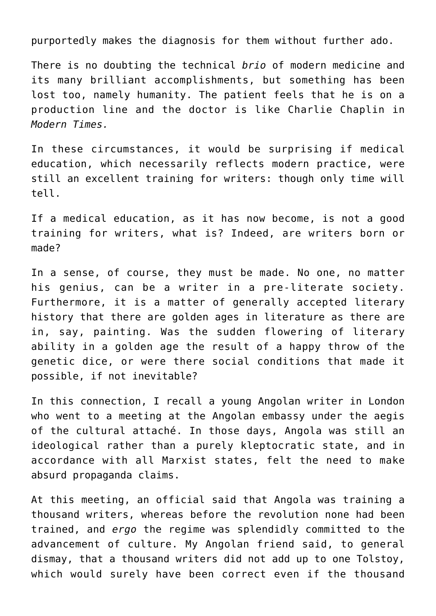purportedly makes the diagnosis for them without further ado.

There is no doubting the technical *brio* of modern medicine and its many brilliant accomplishments, but something has been lost too, namely humanity. The patient feels that he is on a production line and the doctor is like Charlie Chaplin in *Modern Times.*

In these circumstances, it would be surprising if medical education, which necessarily reflects modern practice, were still an excellent training for writers: though only time will tell.

If a medical education, as it has now become, is not a good training for writers, what is? Indeed, are writers born or made?

In a sense, of course, they must be made. No one, no matter his genius, can be a writer in a pre-literate society. Furthermore, it is a matter of generally accepted literary history that there are golden ages in literature as there are in, say, painting. Was the sudden flowering of literary ability in a golden age the result of a happy throw of the genetic dice, or were there social conditions that made it possible, if not inevitable?

In this connection, I recall a young Angolan writer in London who went to a meeting at the Angolan embassy under the aegis of the cultural attaché. In those days, Angola was still an ideological rather than a purely kleptocratic state, and in accordance with all Marxist states, felt the need to make absurd propaganda claims.

At this meeting, an official said that Angola was training a thousand writers, whereas before the revolution none had been trained, and *ergo* the regime was splendidly committed to the advancement of culture. My Angolan friend said, to general dismay, that a thousand writers did not add up to one Tolstoy, which would surely have been correct even if the thousand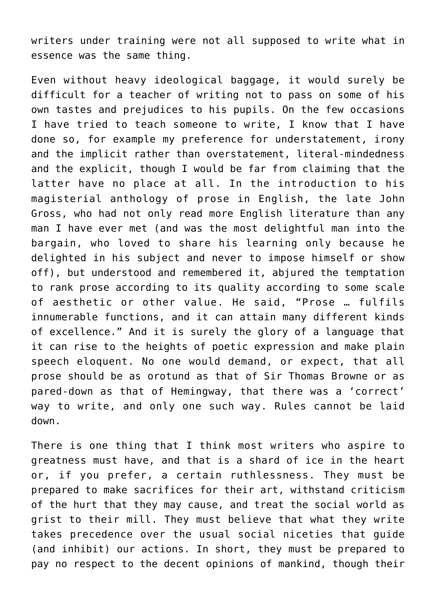writers under training were not all supposed to write what in essence was the same thing.

Even without heavy ideological baggage, it would surely be difficult for a teacher of writing not to pass on some of his own tastes and prejudices to his pupils. On the few occasions I have tried to teach someone to write, I know that I have done so, for example my preference for understatement, irony and the implicit rather than overstatement, literal-mindedness and the explicit, though I would be far from claiming that the latter have no place at all. In the introduction to his magisterial anthology of prose in English, the late John Gross, who had not only read more English literature than any man I have ever met (and was the most delightful man into the bargain, who loved to share his learning only because he delighted in his subject and never to impose himself or show off), but understood and remembered it, abjured the temptation to rank prose according to its quality according to some scale of aesthetic or other value. He said, "Prose … fulfils innumerable functions, and it can attain many different kinds of excellence." And it is surely the glory of a language that it can rise to the heights of poetic expression and make plain speech eloquent. No one would demand, or expect, that all prose should be as orotund as that of Sir Thomas Browne or as pared-down as that of Hemingway, that there was a 'correct' way to write, and only one such way. Rules cannot be laid down.

There is one thing that I think most writers who aspire to greatness must have, and that is a shard of ice in the heart or, if you prefer, a certain ruthlessness. They must be prepared to make sacrifices for their art, withstand criticism of the hurt that they may cause, and treat the social world as grist to their mill. They must believe that what they write takes precedence over the usual social niceties that guide (and inhibit) our actions. In short, they must be prepared to pay no respect to the decent opinions of mankind, though their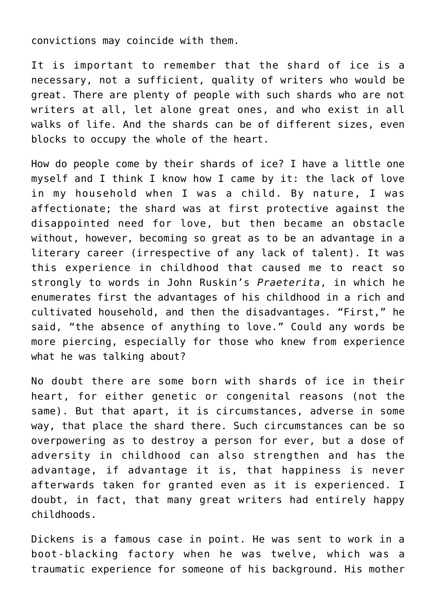convictions may coincide with them.

It is important to remember that the shard of ice is a necessary, not a sufficient, quality of writers who would be great. There are plenty of people with such shards who are not writers at all, let alone great ones, and who exist in all walks of life. And the shards can be of different sizes, even blocks to occupy the whole of the heart.

How do people come by their shards of ice? I have a little one myself and I think I know how I came by it: the lack of love in my household when I was a child. By nature, I was affectionate; the shard was at first protective against the disappointed need for love, but then became an obstacle without, however, becoming so great as to be an advantage in a literary career (irrespective of any lack of talent). It was this experience in childhood that caused me to react so strongly to words in John Ruskin's *Praeterita*, in which he enumerates first the advantages of his childhood in a rich and cultivated household, and then the disadvantages. "First," he said, "the absence of anything to love." Could any words be more piercing, especially for those who knew from experience what he was talking about?

No doubt there are some born with shards of ice in their heart, for either genetic or congenital reasons (not the same). But that apart, it is circumstances, adverse in some way, that place the shard there. Such circumstances can be so overpowering as to destroy a person for ever, but a dose of adversity in childhood can also strengthen and has the advantage, if advantage it is, that happiness is never afterwards taken for granted even as it is experienced. I doubt, in fact, that many great writers had entirely happy childhoods.

Dickens is a famous case in point. He was sent to work in a boot-blacking factory when he was twelve, which was a traumatic experience for someone of his background. His mother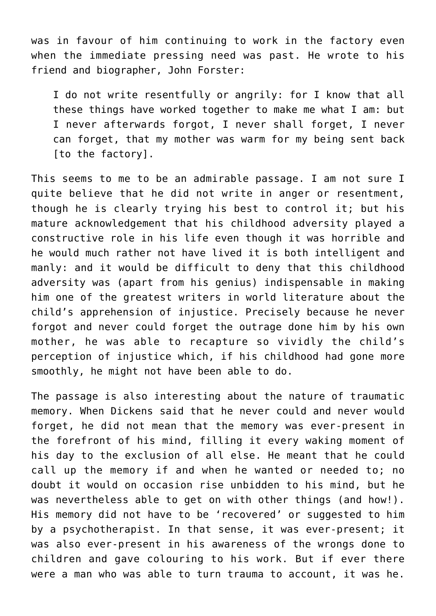was in favour of him continuing to work in the factory even when the immediate pressing need was past. He wrote to his friend and biographer, John Forster:

I do not write resentfully or angrily: for I know that all these things have worked together to make me what I am: but I never afterwards forgot, I never shall forget, I never can forget, that my mother was warm for my being sent back [to the factory].

This seems to me to be an admirable passage. I am not sure I quite believe that he did not write in anger or resentment, though he is clearly trying his best to control it; but his mature acknowledgement that his childhood adversity played a constructive role in his life even though it was horrible and he would much rather not have lived it is both intelligent and manly: and it would be difficult to deny that this childhood adversity was (apart from his genius) indispensable in making him one of the greatest writers in world literature about the child's apprehension of injustice. Precisely because he never forgot and never could forget the outrage done him by his own mother, he was able to recapture so vividly the child's perception of injustice which, if his childhood had gone more smoothly, he might not have been able to do.

The passage is also interesting about the nature of traumatic memory. When Dickens said that he never could and never would forget, he did not mean that the memory was ever-present in the forefront of his mind, filling it every waking moment of his day to the exclusion of all else. He meant that he could call up the memory if and when he wanted or needed to; no doubt it would on occasion rise unbidden to his mind, but he was nevertheless able to get on with other things (and how!). His memory did not have to be 'recovered' or suggested to him by a psychotherapist. In that sense, it was ever-present; it was also ever-present in his awareness of the wrongs done to children and gave colouring to his work. But if ever there were a man who was able to turn trauma to account, it was he.